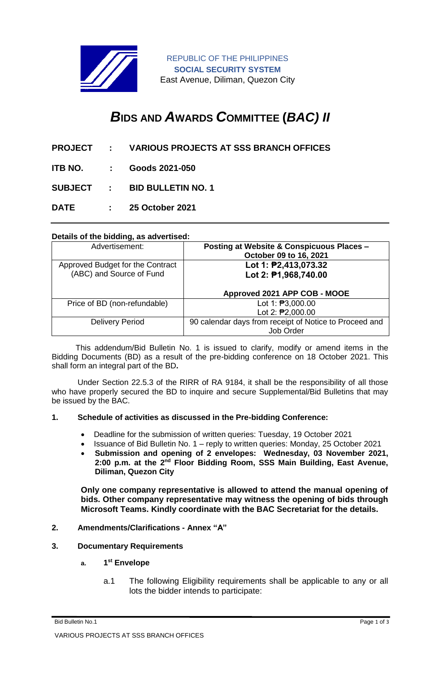

REPUBLIC OF THE PHILIPPINES **SOCIAL SECURITY SYSTEM** East Avenue, Diliman, Quezon City

# *B***IDS AND** *A***WARDS** *C***OMMITTEE (***BAC) II*

- **PROJECT : VARIOUS PROJECTS AT SSS BRANCH OFFICES**
- **ITB NO. : Goods 2021-050**

**SUBJECT : BID BULLETIN NO. 1**

**DATE : 25 October 2021**

# **Details of the bidding, as advertised:**

| Advertisement:                                               | Posting at Website & Conspicuous Places -<br>October 09 to 16, 2021 |
|--------------------------------------------------------------|---------------------------------------------------------------------|
| Approved Budget for the Contract<br>(ABC) and Source of Fund | Lot 1: P2,413,073.32<br>Lot 2: $P1,968,740.00$                      |
|                                                              | Approved 2021 APP COB - MOOE                                        |
| Price of BD (non-refundable)                                 | Lot 1: 23,000.00<br>Lot 2: 22,000.00                                |
| <b>Delivery Period</b>                                       | 90 calendar days from receipt of Notice to Proceed and<br>Job Order |

 This addendum/Bid Bulletin No. 1 is issued to clarify, modify or amend items in the Bidding Documents (BD) as a result of the pre-bidding conference on 18 October 2021. This shall form an integral part of the BD**.**

Under Section 22.5.3 of the RIRR of RA 9184, it shall be the responsibility of all those who have properly secured the BD to inquire and secure Supplemental/Bid Bulletins that may be issued by the BAC.

#### **1. Schedule of activities as discussed in the Pre-bidding Conference:**

- Deadline for the submission of written queries: Tuesday, 19 October 2021
- Issuance of Bid Bulletin No. 1 reply to written queries: Monday, 25 October 2021
- **Submission and opening of 2 envelopes: Wednesday, 03 November 2021,**  2:00 p.m. at the 2<sup>nd</sup> Floor Bidding Room, SSS Main Building, East Avenue, **Diliman, Quezon City**

**Only one company representative is allowed to attend the manual opening of bids. Other company representative may witness the opening of bids through Microsoft Teams. Kindly coordinate with the BAC Secretariat for the details.**

#### **2. Amendments/Clarifications - Annex "A"**

#### **3. Documentary Requirements**

- **a. 1 st Envelope**
	- a.1 The following Eligibility requirements shall be applicable to any or all lots the bidder intends to participate:

Bid Bulletin No.1 Page 1 of 3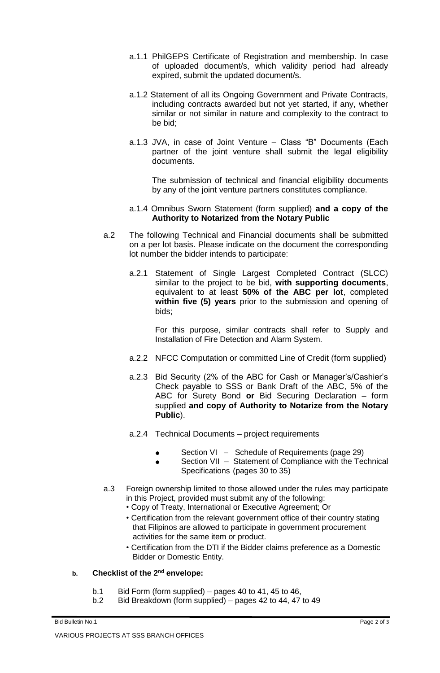- a.1.1 PhilGEPS Certificate of Registration and membership. In case of uploaded document/s, which validity period had already expired, submit the updated document/s.
- a.1.2 Statement of all its Ongoing Government and Private Contracts, including contracts awarded but not yet started, if any, whether similar or not similar in nature and complexity to the contract to be bid;
- a.1.3 JVA, in case of Joint Venture Class "B" Documents (Each partner of the joint venture shall submit the legal eligibility documents.

The submission of technical and financial eligibility documents by any of the joint venture partners constitutes compliance.

# a.1.4 Omnibus Sworn Statement (form supplied) **and a copy of the Authority to Notarized from the Notary Public**

- a.2 The following Technical and Financial documents shall be submitted on a per lot basis. Please indicate on the document the corresponding lot number the bidder intends to participate:
	- a.2.1 Statement of Single Largest Completed Contract (SLCC) similar to the project to be bid, **with supporting documents**, equivalent to at least **50% of the ABC per lot**, completed **within five (5) years** prior to the submission and opening of bids;

For this purpose, similar contracts shall refer to Supply and Installation of Fire Detection and Alarm System.

- a.2.2 NFCC Computation or committed Line of Credit (form supplied)
- a.2.3 Bid Security (2% of the ABC for Cash or Manager's/Cashier's Check payable to SSS or Bank Draft of the ABC, 5% of the ABC for Surety Bond **or** Bid Securing Declaration – form supplied **and copy of Authority to Notarize from the Notary Public**).
- a.2.4 Technical Documents project requirements
	- Section VI Schedule of Requirements (page 29)
	- Section VII Statement of Compliance with the Technical Specifications (pages 30 to 35)
- a.3 Foreign ownership limited to those allowed under the rules may participate in this Project, provided must submit any of the following:
	- Copy of Treaty, International or Executive Agreement; Or
	- Certification from the relevant government office of their country stating that Filipinos are allowed to participate in government procurement activities for the same item or product.
	- Certification from the DTI if the Bidder claims preference as a Domestic Bidder or Domestic Entity.

# **b. Checklist of the 2nd envelope:**

- b.1 Bid Form (form supplied) pages 40 to 41, 45 to 46,
- b.2 Bid Breakdown (form supplied) pages 42 to 44, 47 to 49

Bid Bulletin No.1 Page 2 of 3